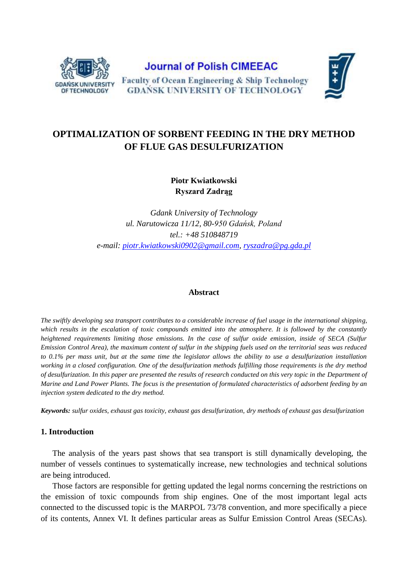

**Journal of Polish CIMEEAC Faculty of Ocean Engineering & Ship Technology GDANSK UNIVERSITY OF TECHNOLOGY** 



# **OPTIMALIZATION OF SORBENT FEEDING IN THE DRY METHOD OF FLUE GAS DESULFURIZATION**

**Piotr Kwiatkowski Ryszard Zadrąg**

*Gdank University of Technology ul. Narutowicza 11/12, 80-950 Gdańsk, Poland tel.: +48 510848719 e-mail: [piotr.kwiatkowski0902@gmail.com,](mailto:piotr.kwiatkowski0902@gmail.com) [ryszadra@pg.gda.pl](mailto:ryszadra@pg.gda.pl)*

#### **Abstract**

*The swiftly developing sea transport contributes to a considerable increase of fuel usage in the international shipping,*  which results in the escalation of toxic compounds emitted into the atmosphere. It is followed by the constantly *heightened requirements limiting those emissions. In the case of sulfur oxide emission, inside of SECA (Sulfur Emission Control Area), the maximum content of sulfur in the shipping fuels used on the territorial seas was reduced*  to 0.1% per mass unit, but at the same time the legislator allows the ability to use a desulfurization installation *working in a closed configuration. One of the desulfurization methods fulfilling those requirements is the dry method of desulfurization. In this paper are presented the results of research conducted on this very topic in the Department of Marine and Land Power Plants. The focus is the presentation of formulated characteristics of adsorbent feeding by an injection system dedicated to the dry method.*

*Keywords: sulfur oxides, exhaust gas toxicity, exhaust gas desulfurization, dry methods of exhaust gas desulfurization*

# **1. Introduction**

The analysis of the years past shows that sea transport is still dynamically developing, the number of vessels continues to systematically increase, new technologies and technical solutions are being introduced.

Those factors are responsible for getting updated the legal norms concerning the restrictions on the emission of toxic compounds from ship engines. One of the most important legal acts connected to the discussed topic is the MARPOL 73/78 convention, and more specifically a piece of its contents, Annex VI. It defines particular areas as Sulfur Emission Control Areas (SECAs).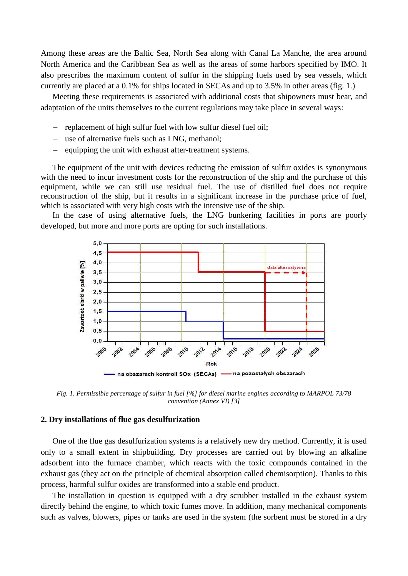Among these areas are the Baltic Sea, North Sea along with Canal La Manche, the area around North America and the Caribbean Sea as well as the areas of some harbors specified by IMO. It also prescribes the maximum content of sulfur in the shipping fuels used by sea vessels, which currently are placed at a 0.1% for ships located in SECAs and up to 3.5% in other areas (fig. 1.)

Meeting these requirements is associated with additional costs that shipowners must bear, and adaptation of the units themselves to the current regulations may take place in several ways:

- replacement of high sulfur fuel with low sulfur diesel fuel oil;
- use of alternative fuels such as LNG, methanol;
- equipping the unit with exhaust after-treatment systems.

The equipment of the unit with devices reducing the emission of sulfur oxides is synonymous with the need to incur investment costs for the reconstruction of the ship and the purchase of this equipment, while we can still use residual fuel. The use of distilled fuel does not require reconstruction of the ship, but it results in a significant increase in the purchase price of fuel, which is associated with very high costs with the intensive use of the ship.

In the case of using alternative fuels, the LNG bunkering facilities in ports are poorly developed, but more and more ports are opting for such installations.



*Fig. 1. Permissible percentage of sulfur in fuel [%] for diesel marine engines according to MARPOL 73/78 convention (Annex VI) [3]*

# **2. Dry installations of flue gas desulfurization**

One of the flue gas desulfurization systems is a relatively new dry method. Currently, it is used only to a small extent in shipbuilding. Dry processes are carried out by blowing an alkaline adsorbent into the furnace chamber, which reacts with the toxic compounds contained in the exhaust gas (they act on the principle of chemical absorption called chemisorption). Thanks to this process, harmful sulfur oxides are transformed into a stable end product.

The installation in question is equipped with a dry scrubber installed in the exhaust system directly behind the engine, to which toxic fumes move. In addition, many mechanical components such as valves, blowers, pipes or tanks are used in the system (the sorbent must be stored in a dry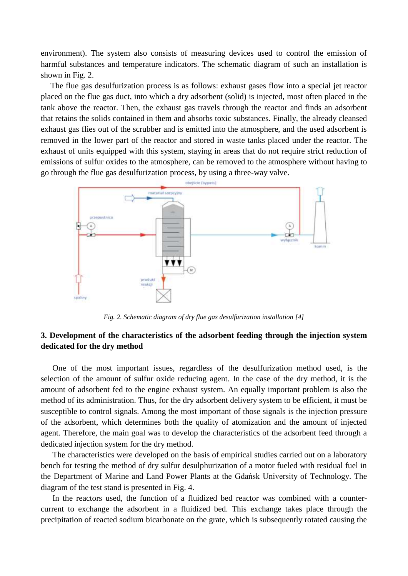environment). The system also consists of measuring devices used to control the emission of harmful substances and temperature indicators. The schematic diagram of such an installation is shown in Fig. 2.

The flue gas desulfurization process is as follows: exhaust gases flow into a special jet reactor placed on the flue gas duct, into which a dry adsorbent (solid) is injected, most often placed in the tank above the reactor. Then, the exhaust gas travels through the reactor and finds an adsorbent that retains the solids contained in them and absorbs toxic substances. Finally, the already cleansed exhaust gas flies out of the scrubber and is emitted into the atmosphere, and the used adsorbent is removed in the lower part of the reactor and stored in waste tanks placed under the reactor. The exhaust of units equipped with this system, staying in areas that do not require strict reduction of emissions of sulfur oxides to the atmosphere, can be removed to the atmosphere without having to go through the flue gas desulfurization process, by using a three-way valve.



*Fig. 2. Schematic diagram of dry flue gas desulfurization installation [4]*

# **3. Development of the characteristics of the adsorbent feeding through the injection system dedicated for the dry method**

One of the most important issues, regardless of the desulfurization method used, is the selection of the amount of sulfur oxide reducing agent. In the case of the dry method, it is the amount of adsorbent fed to the engine exhaust system. An equally important problem is also the method of its administration. Thus, for the dry adsorbent delivery system to be efficient, it must be susceptible to control signals. Among the most important of those signals is the injection pressure of the adsorbent, which determines both the quality of atomization and the amount of injected agent. Therefore, the main goal was to develop the characteristics of the adsorbent feed through a dedicated injection system for the dry method.

The characteristics were developed on the basis of empirical studies carried out on a laboratory bench for testing the method of dry sulfur desulphurization of a motor fueled with residual fuel in the Department of Marine and Land Power Plants at the Gdańsk University of Technology. The diagram of the test stand is presented in Fig. 4.

In the reactors used, the function of a fluidized bed reactor was combined with a countercurrent to exchange the adsorbent in a fluidized bed. This exchange takes place through the precipitation of reacted sodium bicarbonate on the grate, which is subsequently rotated causing the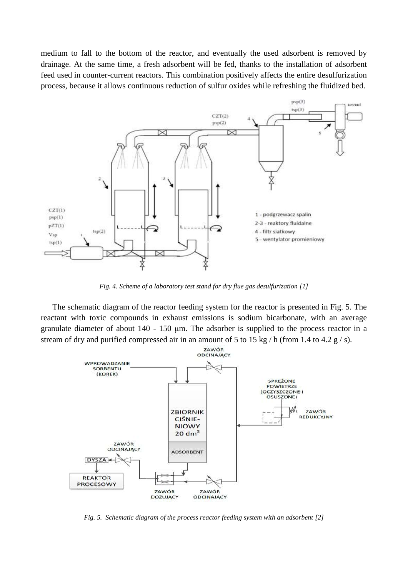medium to fall to the bottom of the reactor, and eventually the used adsorbent is removed by drainage. At the same time, a fresh adsorbent will be fed, thanks to the installation of adsorbent feed used in counter-current reactors. This combination positively affects the entire desulfurization process, because it allows continuous reduction of sulfur oxides while refreshing the fluidized bed.



*Fig. 4. Scheme of a laboratory test stand for dry flue gas desulfurization [1]*

The schematic diagram of the reactor feeding system for the reactor is presented in Fig. 5. The reactant with toxic compounds in exhaust emissions is sodium bicarbonate, with an average granulate diameter of about 140 - 150 μm. The adsorber is supplied to the process reactor in a stream of dry and purified compressed air in an amount of 5 to 15 kg / h (from 1.4 to 4.2 g / s).



*Fig. 5. Schematic diagram of the process reactor feeding system with an adsorbent [2]*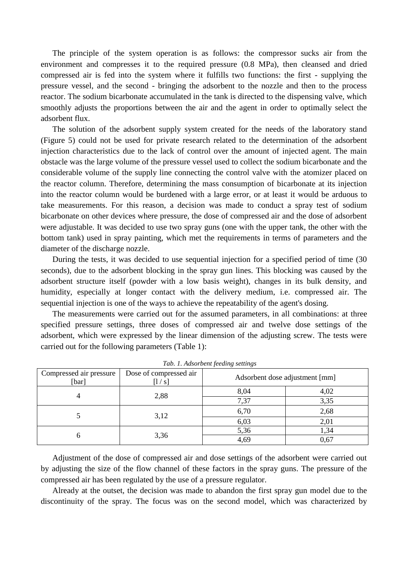The principle of the system operation is as follows: the compressor sucks air from the environment and compresses it to the required pressure (0.8 MPa), then cleansed and dried compressed air is fed into the system where it fulfills two functions: the first - supplying the pressure vessel, and the second - bringing the adsorbent to the nozzle and then to the process reactor. The sodium bicarbonate accumulated in the tank is directed to the dispensing valve, which smoothly adjusts the proportions between the air and the agent in order to optimally select the adsorbent flux.

The solution of the adsorbent supply system created for the needs of the laboratory stand (Figure 5) could not be used for private research related to the determination of the adsorbent injection characteristics due to the lack of control over the amount of injected agent. The main obstacle was the large volume of the pressure vessel used to collect the sodium bicarbonate and the considerable volume of the supply line connecting the control valve with the atomizer placed on the reactor column. Therefore, determining the mass consumption of bicarbonate at its injection into the reactor column would be burdened with a large error, or at least it would be arduous to take measurements. For this reason, a decision was made to conduct a spray test of sodium bicarbonate on other devices where pressure, the dose of compressed air and the dose of adsorbent were adjustable. It was decided to use two spray guns (one with the upper tank, the other with the bottom tank) used in spray painting, which met the requirements in terms of parameters and the diameter of the discharge nozzle.

During the tests, it was decided to use sequential injection for a specified period of time (30 seconds), due to the adsorbent blocking in the spray gun lines. This blocking was caused by the adsorbent structure itself (powder with a low basis weight), changes in its bulk density, and humidity, especially at longer contact with the delivery medium, i.e. compressed air. The sequential injection is one of the ways to achieve the repeatability of the agent's dosing.

The measurements were carried out for the assumed parameters, in all combinations: at three specified pressure settings, three doses of compressed air and twelve dose settings of the adsorbent, which were expressed by the linear dimension of the adjusting screw. The tests were carried out for the following parameters (Table 1):

| Compressed air pressure<br>[bar] | Dose of compressed air<br> 1/s | Adsorbent dose adjustment [mm] |      |
|----------------------------------|--------------------------------|--------------------------------|------|
|                                  | 2,88                           | 8,04                           | 4,02 |
|                                  |                                | 7,37                           | 3,35 |
|                                  | 3,12                           | 6,70                           | 2,68 |
|                                  |                                | 6,03                           | 2,01 |
|                                  | 3,36                           | 5,36                           | 1,34 |
|                                  |                                | 4,69                           | 0,67 |

*Tab. 1. Adsorbent feeding settings*

Adjustment of the dose of compressed air and dose settings of the adsorbent were carried out by adjusting the size of the flow channel of these factors in the spray guns. The pressure of the compressed air has been regulated by the use of a pressure regulator.

Already at the outset, the decision was made to abandon the first spray gun model due to the discontinuity of the spray. The focus was on the second model, which was characterized by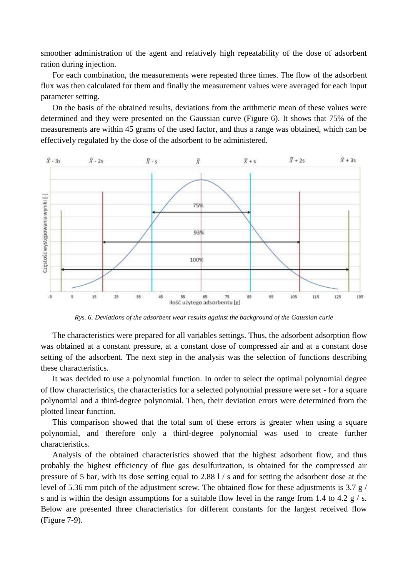smoother administration of the agent and relatively high repeatability of the dose of adsorbent ration during injection.

For each combination, the measurements were repeated three times. The flow of the adsorbent flux was then calculated for them and finally the measurement values were averaged for each input parameter setting.

On the basis of the obtained results, deviations from the arithmetic mean of these values were determined and they were presented on the Gaussian curve (Figure 6). It shows that 75% of the measurements are within 45 grams of the used factor, and thus a range was obtained, which can be effectively regulated by the dose of the adsorbent to be administered.



*Rys. 6. Deviations of the adsorbent wear results against the background of the Gaussian curie*

The characteristics were prepared for all variables settings. Thus, the adsorbent adsorption flow was obtained at a constant pressure, at a constant dose of compressed air and at a constant dose setting of the adsorbent. The next step in the analysis was the selection of functions describing these characteristics.

It was decided to use a polynomial function. In order to select the optimal polynomial degree of flow characteristics, the characteristics for a selected polynomial pressure were set - for a square polynomial and a third-degree polynomial. Then, their deviation errors were determined from the plotted linear function.

This comparison showed that the total sum of these errors is greater when using a square polynomial, and therefore only a third-degree polynomial was used to create further characteristics.

Analysis of the obtained characteristics showed that the highest adsorbent flow, and thus probably the highest efficiency of flue gas desulfurization, is obtained for the compressed air pressure of 5 bar, with its dose setting equal to 2.88 l / s and for setting the adsorbent dose at the level of 5.36 mm pitch of the adjustment screw. The obtained flow for these adjustments is 3.7 g / s and is within the design assumptions for a suitable flow level in the range from 1.4 to 4.2  $\frac{g}{s}$ . Below are presented three characteristics for different constants for the largest received flow (Figure 7-9).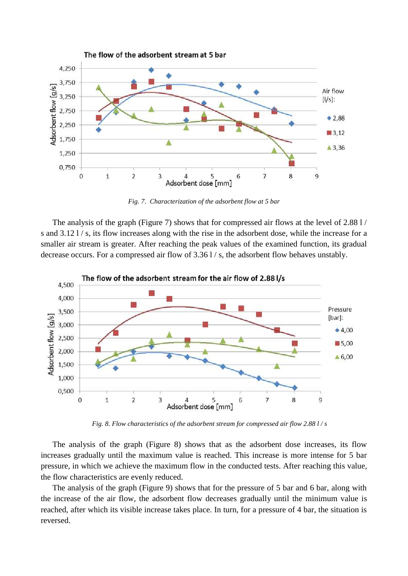

*Fig. 7. Characterization of the adsorbent flow at 5 bar*

The analysis of the graph (Figure 7) shows that for compressed air flows at the level of 2.88 l / s and 3.12 l / s, its flow increases along with the rise in the adsorbent dose, while the increase for a smaller air stream is greater. After reaching the peak values of the examined function, its gradual decrease occurs. For a compressed air flow of 3.36 l/s, the adsorbent flow behaves unstably.



*Fig. 8. Flow characteristics of the adsorbent stream for compressed air flow 2.88 l / s*

The analysis of the graph (Figure 8) shows that as the adsorbent dose increases, its flow increases gradually until the maximum value is reached. This increase is more intense for 5 bar pressure, in which we achieve the maximum flow in the conducted tests. After reaching this value, the flow characteristics are evenly reduced.

The analysis of the graph (Figure 9) shows that for the pressure of 5 bar and 6 bar, along with the increase of the air flow, the adsorbent flow decreases gradually until the minimum value is reached, after which its visible increase takes place. In turn, for a pressure of 4 bar, the situation is reversed.